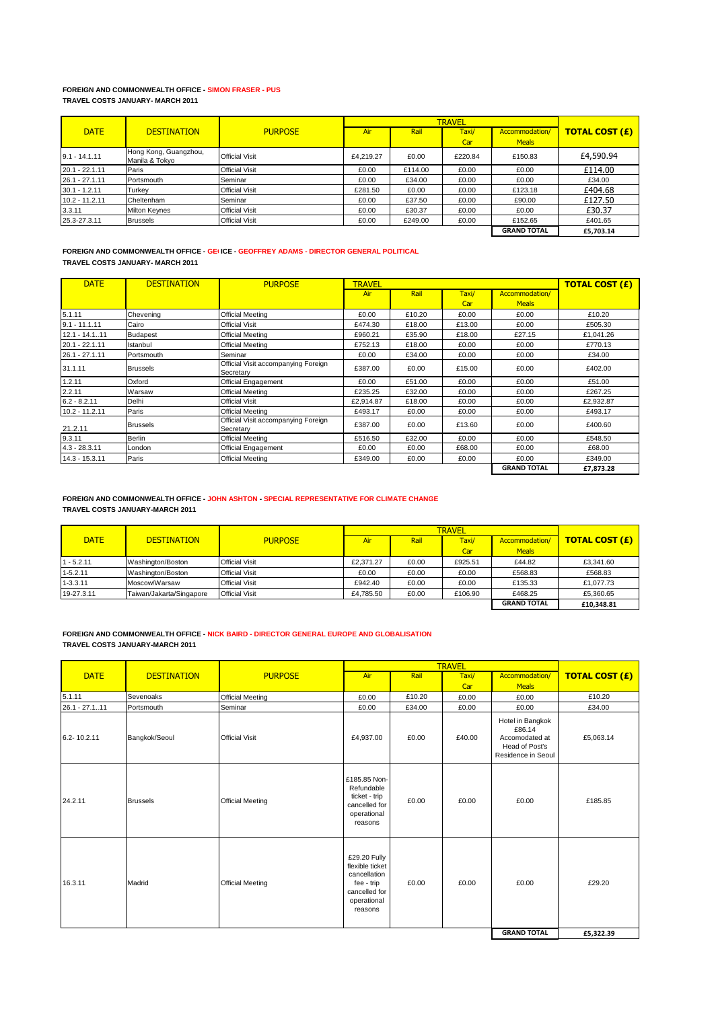# **FOREIGN AND COMMONWEALTH OFFICE - SIMON FRASER - PUS TRAVEL COSTS JANUARY- MARCH 2011**

| <b>DATE</b>      | <b>DESTINATION</b>                      | <b>PURPOSE</b>        | Air       | Rail    | Taxi/   | Accommodation/     | <b>TOTAL COST (£)</b> |
|------------------|-----------------------------------------|-----------------------|-----------|---------|---------|--------------------|-----------------------|
|                  |                                         |                       |           |         | Car     | <b>Meals</b>       |                       |
| $9.1 - 14.1.11$  | Hong Kong, Guangzhou,<br>Manila & Tokyo | <b>Official Visit</b> | £4.219.27 | £0.00   | £220.84 | £150.83            | £4,590.94             |
| $20.1 - 22.1.11$ | Paris                                   | <b>Official Visit</b> | £0.00     | £114.00 | £0.00   | £0.00              | £114.00               |
| $26.1 - 27.1.11$ | Portsmouth                              | Seminar               | £0.00     | £34.00  | £0.00   | £0.00              | £34.00                |
| $30.1 - 1.2.11$  | Turkey                                  | <b>Official Visit</b> | £281.50   | £0.00   | £0.00   | £123.18            | £404.68               |
| $10.2 - 11.2.11$ | Cheltenham                              | Seminar               | £0.00     | £37.50  | £0.00   | £90.00             | £127.50               |
| 3.3.11           | <b>Milton Keynes</b>                    | <b>Official Visit</b> | £0.00     | £30.37  | £0.00   | £0.00              | £30.37                |
| 25.3-27.3.11     | <b>Brussels</b>                         | <b>Official Visit</b> | £0.00     | £249.00 | £0.00   | £152.65            | £401.65               |
|                  |                                         |                       |           |         |         | <b>GRAND TOTAL</b> | £5,703.14             |

**FOREIGN AND COMMONWEALTH OFFICE - GE(ICE - GEOFFREY ADAMS - DIRECTOR GENERAL POLITICAL TRAVEL COSTS JANUARY- MARCH 2011**

| <b>DATE</b>      | <b>DESTINATION</b> | <b>PURPOSE</b>                                   | <b>TRAVEL</b> |        |        |                    | <b>TOTAL COST (£)</b> |
|------------------|--------------------|--------------------------------------------------|---------------|--------|--------|--------------------|-----------------------|
|                  |                    |                                                  | Air           | Rail   | Taxi/  | Accommodation/     |                       |
|                  |                    |                                                  |               |        | Car    | <b>Meals</b>       |                       |
| 5.1.11           | Chevening          | <b>Official Meeting</b>                          | £0.00         | £10.20 | £0.00  | £0.00              | £10.20                |
| $9.1 - 11.1.11$  | Cairo              | <b>Official Visit</b>                            | £474.30       | £18.00 | £13.00 | £0.00              | £505.30               |
| $12.1 - 14.1$ 11 | <b>Budapest</b>    | <b>Official Meeting</b>                          | £960.21       | £35.90 | £18.00 | £27.15             | £1,041.26             |
| $20.1 - 22.1.11$ | Istanbul           | <b>Official Meeting</b>                          | £752.13       | £18.00 | £0.00  | £0.00              | £770.13               |
| 26.1 - 27.1.11   | Portsmouth         | Seminar                                          | £0.00         | £34.00 | £0.00  | £0.00              | £34.00                |
| 31.1.11          | <b>Brussels</b>    | Official Visit accompanying Foreign<br>Secretary | £387.00       | £0.00  | £15.00 | £0.00              | £402.00               |
| 1.2.11           | Oxford             | <b>Official Engagement</b>                       | £0.00         | £51.00 | £0.00  | £0.00              | £51.00                |
| 2.2.11           | Warsaw             | <b>Official Meeting</b>                          | £235.25       | £32.00 | £0.00  | £0.00              | £267.25               |
| $6.2 - 8.2.11$   | Delhi              | <b>Official Visit</b>                            | £2,914.87     | £18.00 | £0.00  | £0.00              | £2,932.87             |
| $10.2 - 11.2.11$ | Paris              | <b>Official Meeting</b>                          | £493.17       | £0.00  | £0.00  | £0.00              | £493.17               |
| 21.2.11          | <b>Brussels</b>    | Official Visit accompanying Foreign<br>Secretary | £387.00       | £0.00  | £13.60 | £0.00              | £400.60               |
| 9.3.11           | Berlin             | <b>Official Meeting</b>                          | £516.50       | £32.00 | £0.00  | £0.00              | £548.50               |
| $4.3 - 28.3.11$  | London             | <b>Official Engagement</b>                       | £0.00         | £0.00  | £68.00 | £0.00              | £68.00                |
| $14.3 - 15.3.11$ | Paris              | <b>Official Meeting</b>                          | £349.00       | £0.00  | £0.00  | £0.00              | £349.00               |
|                  |                    |                                                  |               |        |        | <b>GRAND TOTAL</b> | £7,873.28             |

# **FOREIGN AND COMMONWEALTH OFFICE - JOHN ASHTON - SPECIAL REPRESENTATIVE FOR CLIMATE CHANGE TRAVEL COSTS JANUARY-MARCH 2011**

| <b>DATE</b>  | <b>DESTINATION</b>       | <b>PURPOSE</b>        | Air       | Rail  | Taxi/   | Accommodation/     | <b>TOTAL COST (£)</b> |
|--------------|--------------------------|-----------------------|-----------|-------|---------|--------------------|-----------------------|
|              |                          |                       |           |       | Car     | <b>Meals</b>       |                       |
| $1 - 5.2.11$ | Washington/Boston        | <b>Official Visit</b> | £2.371.27 | £0.00 | £925.51 | £44.82             | £3,341.60             |
| $1 - 5.2.11$ | Washington/Boston        | <b>Official Visit</b> | £0.00     | £0.00 | £0.00   | £568.83            | £568.83               |
| $1 - 3.3.11$ | Moscow/Warsaw            | <b>Official Visit</b> | £942.40   | £0.00 | £0.00   | £135.33            | £1,077.73             |
| 19-27.3.11   | Taiwan/Jakarta/Singapore | <b>Official Visit</b> | £4,785.50 | £0.00 | £106.90 | £468.25            | £5,360.65             |
|              |                          |                       |           |       |         | <b>GRAND TOTAL</b> | £10,348.81            |

# **FOREIGN AND COMMONWEALTH OFFICE - NICK BAIRD - DIRECTOR GENERAL EUROPE AND GLOBALISATION TRAVEL COSTS JANUARY-MARCH 2011**

|                 |                    |                         |                                                                                                          |        | <b>TRAVEL</b> |                                                                                      |                       |
|-----------------|--------------------|-------------------------|----------------------------------------------------------------------------------------------------------|--------|---------------|--------------------------------------------------------------------------------------|-----------------------|
| <b>DATE</b>     | <b>DESTINATION</b> | <b>PURPOSE</b>          | Air                                                                                                      | Rail   | Taxi/         | Accommodation/                                                                       | <b>TOTAL COST (£)</b> |
|                 |                    |                         |                                                                                                          |        | Car           | <b>Meals</b>                                                                         |                       |
| 5.1.11          | Sevenoaks          | <b>Official Meeting</b> | £0.00                                                                                                    | £10.20 | £0.00         | £0.00                                                                                | £10.20                |
| $26.1 - 27.111$ | Portsmouth         | Seminar                 | £0.00                                                                                                    | £34.00 | £0.00         | £0.00                                                                                | £34.00                |
| 6.2-10.2.11     | Bangkok/Seoul      | <b>Official Visit</b>   | £4,937.00                                                                                                | £0.00  | £40.00        | Hotel in Bangkok<br>£86.14<br>Accomodated at<br>Head of Post's<br>Residence in Seoul | £5,063.14             |
| 24.2.11         | <b>Brussels</b>    | <b>Official Meeting</b> | £185.85 Non-<br>Refundable<br>ticket - trip<br>cancelled for<br>operational<br>reasons                   | £0.00  | £0.00         | £0.00                                                                                | £185.85               |
| 16.3.11         | Madrid             | <b>Official Meeting</b> | £29.20 Fully<br>flexible ticket<br>cancellation<br>fee - trip<br>cancelled for<br>operational<br>reasons | £0.00  | £0.00         | £0.00                                                                                | £29.20                |
|                 |                    |                         |                                                                                                          |        |               | <b>GRAND TOTAL</b>                                                                   | £5,322.39             |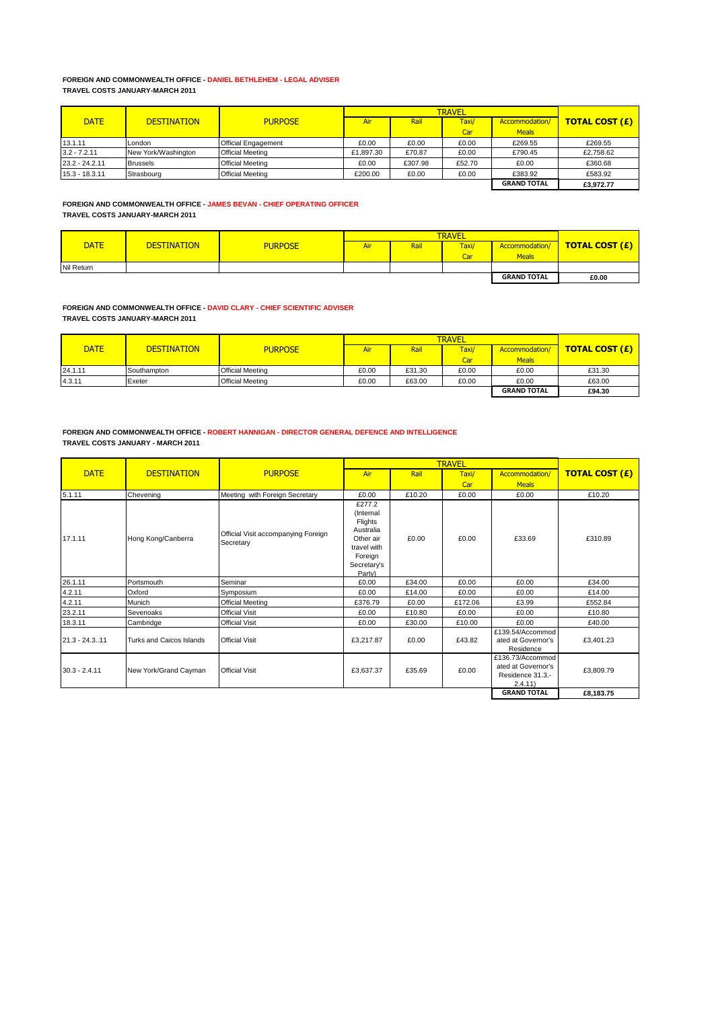### **FOREIGN AND COMMONWEALTH OFFICE - DANIEL BETHLEHEM - LEGAL ADVISER TRAVEL COSTS JANUARY-MARCH 2011**

| <b>DATE</b>      | <b>DESTINATION</b>  | <b>PURPOSE</b>             | Air       | Rail    | Taxi/  | Accommodation/     | <b>TOTAL COST (£)</b> |
|------------------|---------------------|----------------------------|-----------|---------|--------|--------------------|-----------------------|
|                  |                     |                            |           |         | Car    | <b>Meals</b>       |                       |
| 13.1.11          | London              | <b>Official Engagement</b> | £0.00     | £0.00   | £0.00  | £269.55            | £269.55               |
| $3.2 - 7.2.11$   | New York/Washington | <b>Official Meeting</b>    | £1.897.30 | £70.87  | £0.00  | £790.45            | £2.758.62             |
| $23.2 - 24.2.11$ | <b>Brussels</b>     | <b>Official Meeting</b>    | £0.00     | £307.98 | £52.70 | £0.00              | £360.68               |
| 15.3 - 18.3.11   | Strasbourg          | <b>Official Meeting</b>    | £200.00   | £0.00   | £0.00  | £383.92            | £583.92               |
|                  |                     |                            |           |         |        | <b>GRAND TOTAL</b> | £3.972.77             |

**FOREIGN AND COMMONWEALTH OFFICE - JAMES BEVAN - CHIEF OPERATING OFFICER TRAVEL COSTS JANUARY-MARCH 2011**

| <b>DATE</b> | <b>DESTINATION</b> | <b>PURPOSE</b> | Air | Rail | Taxi/ | Accommodation/     | <b>TOTAL COST (£)</b> |
|-------------|--------------------|----------------|-----|------|-------|--------------------|-----------------------|
|             |                    |                |     |      | Car   | <b>Meals</b>       |                       |
| Nil Return  |                    |                |     |      |       |                    |                       |
|             |                    |                |     |      |       | <b>GRAND TOTAL</b> | £0.00                 |

**FOREIGN AND COMMONWEALTH OFFICE - DAVID CLARY - CHIEF SCIENTIFIC ADVISER TRAVEL COSTS JANUARY-MARCH 2011**

| <b>DATE</b> | <b>DESTINATION</b> | <b>PURPOSE</b>          | Air   | Rail   | Taxi/ | Accommodation/     | <b>TOTAL COST (£)</b> |
|-------------|--------------------|-------------------------|-------|--------|-------|--------------------|-----------------------|
|             |                    |                         |       |        | Car   | <b>Meals</b>       |                       |
| 24.1.11     | Southampton        | <b>Official Meeting</b> | £0.00 | £31.30 | £0.00 | £0.00              | £31.30                |
| 4.3.11      | Exeter             | <b>Official Meeting</b> | £0.00 | £63.00 | £0.00 | £0.00              | £63.00                |
|             |                    |                         |       |        |       | <b>GRAND TOTAL</b> | £94.30                |

**FOREIGN AND COMMONWEALTH OFFICE - ROBERT HANNIGAN - DIRECTOR GENERAL DEFENCE AND INTELLIGENCE TRAVEL COSTS JANUARY - MARCH 2011**

|                  |                          |                                                  |                                                                                                             | <b>TRAVEL</b> |         |                                                                       |                       |
|------------------|--------------------------|--------------------------------------------------|-------------------------------------------------------------------------------------------------------------|---------------|---------|-----------------------------------------------------------------------|-----------------------|
| <b>DATE</b>      | <b>DESTINATION</b>       | <b>PURPOSE</b>                                   | Air                                                                                                         | Rail          | Taxi/   | Accommodation/                                                        | <b>TOTAL COST (£)</b> |
|                  |                          |                                                  |                                                                                                             |               | Car     | <b>Meals</b>                                                          |                       |
| 5.1.11           | Chevening                | Meeting with Foreign Secretary                   | £0.00                                                                                                       | £10.20        | £0.00   | £0.00                                                                 | £10.20                |
| 17.1.11          | Hong Kong/Canberra       | Official Visit accompanying Foreign<br>Secretary | £277.2<br>(Internal<br>Flights<br>Australia<br>Other air<br>travel with<br>Foreign<br>Secretary's<br>Party) | £0.00         | £0.00   | £33.69                                                                | £310.89               |
| 26.1.11          | Portsmouth               | Seminar                                          | £0.00                                                                                                       | £34.00        | £0.00   | £0.00                                                                 | £34.00                |
| 4.2.11           | Oxford                   | Symposium                                        | £0.00                                                                                                       | £14.00        | £0.00   | £0.00                                                                 | £14.00                |
| 4.2.11           | Munich                   | <b>Official Meeting</b>                          | £376.79                                                                                                     | £0.00         | £172.06 | £3.99                                                                 | £552.84               |
| 23.2.11          | Sevenoaks                | <b>Official Visit</b>                            | £0.00                                                                                                       | £10.80        | £0.00   | £0.00                                                                 | £10.80                |
| 18.3.11          | Cambridge                | <b>Official Visit</b>                            | £0.00                                                                                                       | £30.00        | £10.00  | £0.00                                                                 | £40.00                |
| $21.3 - 24.3.11$ | Turks and Caicos Islands | <b>Official Visit</b>                            | £3,217.87                                                                                                   | £0.00         | £43.82  | £139.54/Accommod<br>ated at Governor's<br>Residence                   | £3,401.23             |
| $30.3 - 2.4.11$  | New York/Grand Cayman    | <b>Official Visit</b>                            | £3,637.37                                                                                                   | £35.69        | £0.00   | £136.73/Accommod<br>ated at Governor's<br>Residence 31.3.-<br>2.4.11) | £3,809.79             |
|                  |                          |                                                  |                                                                                                             |               |         | <b>GRAND TOTAL</b>                                                    | £8,183.75             |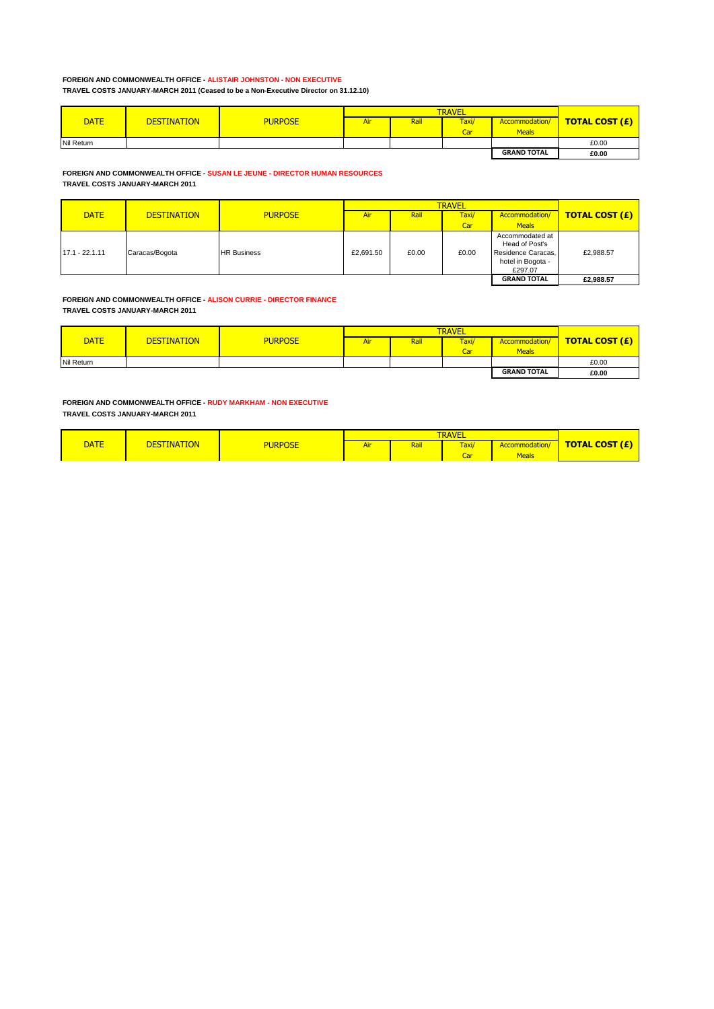#### **FOREIGN AND COMMONWEALTH OFFICE - ALISTAIR JOHNSTON - NON EXECUTIVE TRAVEL COSTS JANUARY-MARCH 2011 (Ceased to be a Non-Executive Director on 31.12.10)**

| <b>DATE</b> | <b>DESTINATION</b> | <b>PURPOSE</b> | <b>Air</b> | Rail | Taxi/<br>Car | Accommodation/<br><b>Meals</b> | <b>TOTAL COST (£)</b> |
|-------------|--------------------|----------------|------------|------|--------------|--------------------------------|-----------------------|
| Nil Return  |                    |                |            |      |              |                                | £0.00                 |
|             |                    |                |            |      |              | <b>GRAND TOTAL</b>             | £0.00                 |

# **FOREIGN AND COMMONWEALTH OFFICE - SUSAN LE JEUNE - DIRECTOR HUMAN RESOURCES TRAVEL COSTS JANUARY-MARCH 2011**

| <b>DATE</b>      | <b>DESTINATION</b> | <b>PURPOSE</b>     | Air       | Rail  | Taxi/ | Accommodation/                                                                          | <b>TOTAL COST (£)</b> |
|------------------|--------------------|--------------------|-----------|-------|-------|-----------------------------------------------------------------------------------------|-----------------------|
|                  |                    |                    |           |       | Car   | <b>Meals</b>                                                                            |                       |
| $17.1 - 22.1.11$ | Caracas/Bogota     | <b>HR Business</b> | £2,691.50 | £0.00 | £0.00 | Accommodated at<br>Head of Post's<br>Residence Caracas.<br>hotel in Bogota -<br>£297.07 | £2,988.57             |
|                  |                    |                    |           |       |       | <b>GRAND TOTAL</b>                                                                      | £2,988.57             |

#### **FOREIGN AND COMMONWEALTH OFFICE - ALISON CURRIE - DIRECTOR FINANCE TRAVEL COSTS JANUARY-MARCH 2011**

| <b>DATE</b> | <b>DESTINATION</b> | <b>PURPOSE</b> | <b>Air</b> | Rail | Taxi/<br>Car | Accommodation/<br><b>Meals</b> | <b>TOTAL COST (£)</b> |
|-------------|--------------------|----------------|------------|------|--------------|--------------------------------|-----------------------|
| Nil Return  |                    |                |            |      |              |                                | £0.00                 |
|             |                    |                |            |      |              | <b>GRAND TOTAL</b>             | £0.00                 |

# **FOREIGN AND COMMONWEALTH OFFICE - RUDY MARKHAM - NON EXECUTIVE**

| <b>TRAVEL COSTS JANUARY-MARCH 2011</b> |  |
|----------------------------------------|--|
|                                        |  |

|             |                    |                | <b>TRAVEL</b> |      |             |                                |                       |
|-------------|--------------------|----------------|---------------|------|-------------|--------------------------------|-----------------------|
| <b>DATE</b> | <b>DESTINATION</b> | <b>PURPOSE</b> | Air           | Rail | Taxi/<br>Ca | Accommodation/<br><b>Meals</b> | <b>TOTAL COST (£)</b> |
|             |                    |                |               |      |             |                                |                       |